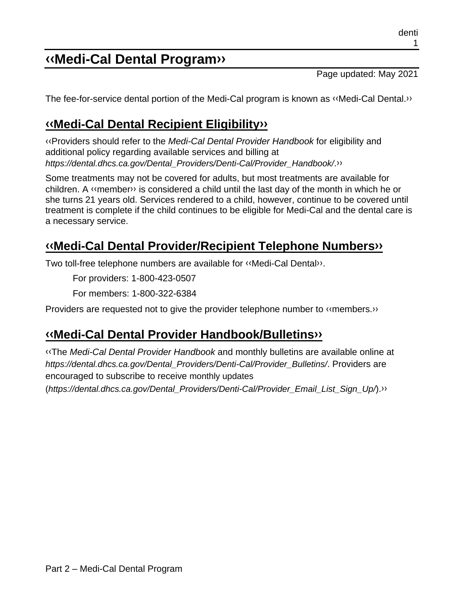# **[‹‹M](#page-1-0)edi-Cal Dental Progra[m››](#page-1-1)**

Page updated: May 2021

The fee-for-service dental portion of the Medi-Cal program is known as [‹‹M](#page-1-0)edi-Cal Dental[.››](#page-1-1)

## **[‹‹M](#page-1-0)edi-Cal Dental Recipient Eligibilit[y››](#page-1-1)**

[‹‹P](#page-1-0)roviders should refer to the *Medi-Cal Dental Provider Handbook* for eligibility and additional policy regarding available services and billing at *https://dental.dhcs.ca.gov/Dental\_Providers/Denti-Cal/Provider\_Handbook/*[.››](#page-1-1)

Some treatments may not be covered for adults, but most treatments are available for children. A [‹‹m](#page-1-0)embe[r››](#page-1-1) is considered a child until the last day of the month in which he or she turns 21 years old. Services rendered to a child, however, continue to be covered until treatment is complete if the child continues to be eligible for Medi-Cal and the dental care is a necessary service.

## **[‹‹M](#page-1-0)edi-Cal Dental Provider/Recipient Telephone Number[s››](#page-1-1)**

Two toll-free telephone numbers are available for [‹‹M](#page-1-0)edi-Cal Denta[l››.](#page-1-1)

For providers: 1-800-423-0507

For members: 1-800-322-6384

Providers are requested not to give the provider telephone number to [‹‹m](#page-1-0)embers[.››](#page-1-1)

### **[‹‹M](#page-1-0)edi-Cal Dental Provider Handbook/Bulletin[s››](#page-1-1)**

[‹‹T](#page-1-0)he *Medi-Cal Dental Provider Handbook* and monthly bulletins are available online at *https://dental.dhcs.ca.gov/Dental\_Providers/Denti-Cal/Provider\_Bulletins/*. Providers are encouraged to subscribe to receive monthly updates

(*https://dental.dhcs.ca.gov/Dental\_Providers/Denti-Cal/Provider\_Email\_List\_Sign\_Up/*)[.››](#page-1-1)